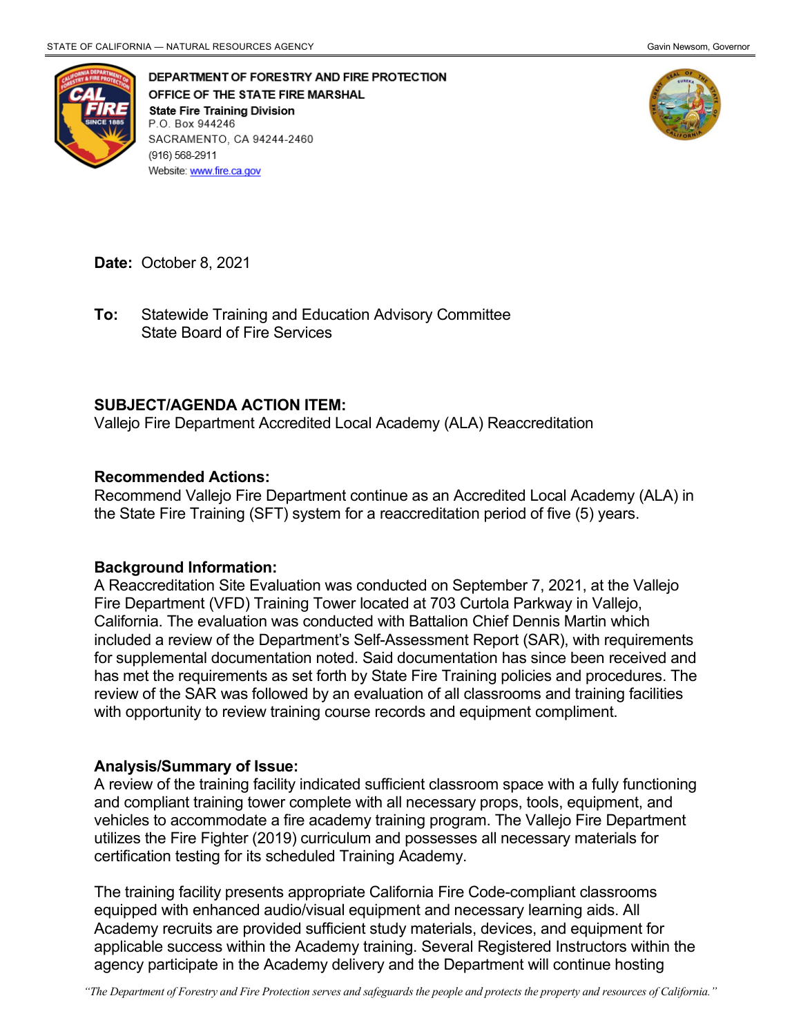

DEPARTMENT OF FORESTRY AND FIRE PROTECTION OFFICE OF THE STATE FIRE MARSHAL **State Fire Training Division** P.O. Box 944246 SACRAMENTO, CA 94244-2460 (916) 568-2911 Website: www.fire.ca.gov



**Date:** October 8, 2021

 State Board of Fire Services **To:** Statewide Training and Education Advisory Committee

## **SUBJECT/AGENDA ACTION ITEM:**

Vallejo Fire Department Accredited Local Academy (ALA) Reaccreditation

## **Recommended Actions:**

 the State Fire Training (SFT) system for a reaccreditation period of five (5) years. Recommend Vallejo Fire Department continue as an Accredited Local Academy (ALA) in

## **Background Information:**

 Fire Department (VFD) Training Tower located at 703 Curtola Parkway in Vallejo, included a review of the Department's Self-Assessment Report (SAR), with requirements has met the requirements as set forth by State Fire Training policies and procedures. The review of the SAR was followed by an evaluation of all classrooms and training facilities A Reaccreditation Site Evaluation was conducted on September 7, 2021, at the Vallejo California. The evaluation was conducted with Battalion Chief Dennis Martin which for supplemental documentation noted. Said documentation has since been received and with opportunity to review training course records and equipment compliment.

## **Analysis/Summary of Issue:**

 A review of the training facility indicated sufficient classroom space with a fully functioning and compliant training tower complete with all necessary props, tools, equipment, and utilizes the Fire Fighter (2019) curriculum and possesses all necessary materials for vehicles to accommodate a fire academy training program. The Vallejo Fire Department certification testing for its scheduled Training Academy.

 equipped with enhanced audio/visual equipment and necessary learning aids. All Academy recruits are provided sufficient study materials, devices, and equipment for agency participate in the Academy delivery and the Department will continue hosting The training facility presents appropriate California Fire Code-compliant classrooms applicable success within the Academy training. Several Registered Instructors within the